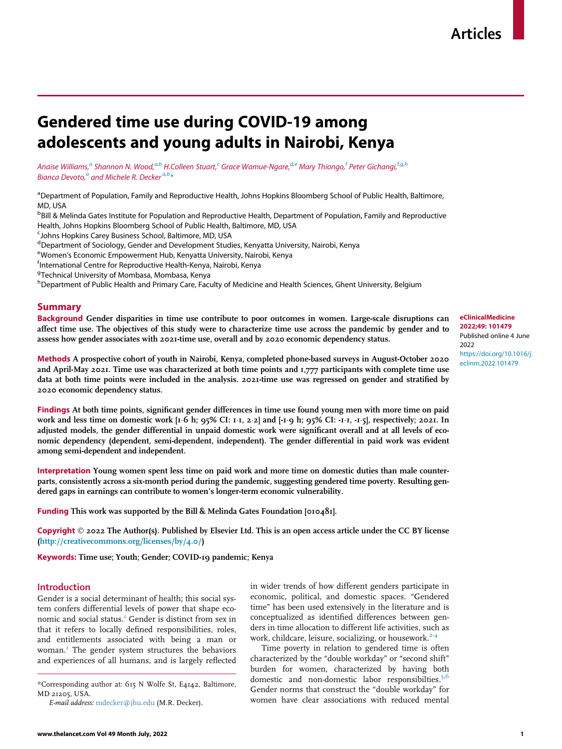# Gendered time use during COVID-19 among adolescents and young adults in Nairobi, Kenya

An[a](#page-0-0)ise Williams,<sup>a</sup> Shannon N. Wood,<sup>a[,b](#page-0-1)</sup> H.Colleen Stuart,<sup>[c](#page-0-2)</sup> Grace Wamue-Ngare,<sup>[d](#page-0-3)[,e](#page-0-4)</sup> Mary Thiongo,<sup>f</sup> Peter Gichangi,<sup>f[,g,](#page-0-6)[h](#page-0-7)</sup> Bi[a](#page-0-0)nca Devoto, $\textsuperscript{a}$  and Michele R. Decker  $\textsuperscript{a,b} \ast$  $\textsuperscript{a,b} \ast$  $\textsuperscript{a,b} \ast$  $\textsuperscript{a,b} \ast$ 

<span id="page-0-0"></span><sup>a</sup> Department of Population, Family and Reproductive Health, Johns Hopkins Bloomberg School of Public Health, Baltimore, MD, USA

<span id="page-0-1"></span>**<sup>b</sup>Bill & Melinda Gates Institute for Population and Reproductive Health, Department of Population, Family and Reproductive** Health, Johns Hopkins Bloomberg School of Public Health, Baltimore, MD, USA

<span id="page-0-2"></span><sup>c</sup>Johns Hopkins Carey Business School, Baltimore, MD, USA

<span id="page-0-3"></span>d Department of Sociology, Gender and Development Studies, Kenyatta University, Nairobi, Kenya

<span id="page-0-4"></span><sup>e</sup>Women's Economic Empowerment Hub, Kenyatta University, Nairobi, Kenya<br><sup>f</sup>International Centre for Benroductive Health-Kenya, Nairobi, Kenya

<span id="page-0-5"></span><sup>f</sup>International Centre for Reproductive Health-Kenya, Nairobi, Kenya

<span id="page-0-6"></span><sup>g</sup>Technical University of Mombasa, Mombasa, Kenya

<span id="page-0-7"></span><sup>h</sup> Department of Public Health and Primary Care, Faculty of Medicine and Health Sciences, Ghent University, Belgium

# Summary

Background Gender disparities in time use contribute to poor outcomes in women. Large-scale disruptions can affect time use. The objectives of this study were to characterize time use across the pandemic by gender and to assess how gender associates with 2021-time use, overall and by 2020 economic dependency status.

Methods A prospective cohort of youth in Nairobi, Kenya, completed phone-based surveys in August-October 2020 and April-May 2021. Time use was characterized at both time points and 1,777 participants with complete time use data at both time points were included in the analysis. 2021-time use was regressed on gender and stratified by 2020 economic dependency status.

Findings At both time points, significant gender differences in time use found young men with more time on paid work and less time on domestic work [1<sup>, 6</sup> h; 95% CI: 1<sup>, 1</sup>, 2<sup>, 2</sup>] and [-1, 9 h; 95% CI: -1<sup>,</sup> 1, -1, 5], respectively; 2021. In adjusted models, the gender differential in unpaid domestic work were significant overall and at all levels of economic dependency (dependent, semi-dependent, independent). The gender differential in paid work was evident among semi-dependent and independent.

Interpretation Young women spent less time on paid work and more time on domestic duties than male counterparts, consistently across a six-month period during the pandemic, suggesting gendered time poverty. Resulting gendered gaps in earnings can contribute to women's longer-term economic vulnerability.

Funding This work was supported by the Bill & Melinda Gates Foundation [010481].

Copyright  $\odot$  2022 The Author(s). Published by Elsevier Ltd. This is an open access article under the CC BY license [\(http://creativecommons.org/licenses/by/4.0/\)](http://creativecommons.org/licenses/by/4.0/)

Keywords: Time use; Youth; Gender; COVID-19 pandemic; Kenya

## **Introduction**

Gender is a social determinant of health; this social system confers differential levels of power that shape eco-nomic and social status.<sup>[1](#page-8-0)</sup> Gender is distinct from sex in that it refers to locally defined responsibilities, roles, and entitlements associated with being a man or woman.<sup>1</sup> The gender system structures the behaviors and experiences of all humans, and is largely reflected

<span id="page-0-8"></span>\*Corresponding author at: 615 N Wolfe St, E4142, Baltimore, MD 21205, USA.

E-mail address: [mdecker@jhu.edu](mailto:mdecker@jhu.edu) (M.R. Decker).

in wider trends of how different genders participate in economic, political, and domestic spaces. "Gendered time" has been used extensively in the literature and is conceptualized as identified differences between genders in time allocation to different life activities, such as work, childcare, leisure, socializing, or housework.<sup>[2-4](#page-8-1)</sup>

Time poverty in relation to gendered time is often characterized by the "double workday" or "second shift" burden for women, characterized by having both domestic and non-domestic labor responsibilties. $5,6$  $5,6$ Gender norms that construct the "double workday" for women have clear associations with reduced mental

# eClinicalMedicine 2022;49: 101479 Published online 4 June 2022

[https://doi.org/10.1016/j.](https://doi.org/10.1016/j.eclinm.2022.101479) [eclinm.2022.101479](https://doi.org/10.1016/j.eclinm.2022.101479)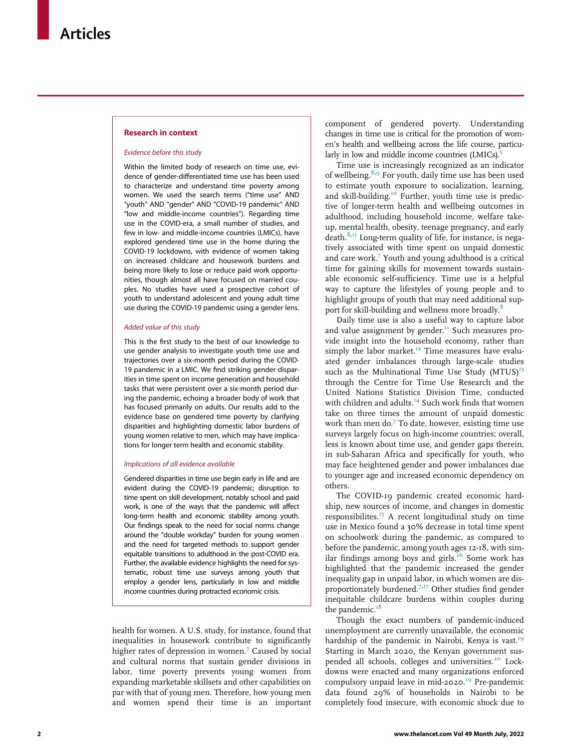## Research in context

#### Evidence before this study

Within the limited body of research on time use, evidence of gender-differentiated time use has been used to characterize and understand time poverty among women. We used the search terms ("time use" AND "youth" AND "gender" AND "COVID-19 pandemic" AND "low and middle-income countries"). Regarding time use in the COVID-era, a small number of studies, and few in low- and middle-income countries (LMICs), have explored gendered time use in the home during the COVID-19 lockdowns, with evidence of women taking on increased childcare and housework burdens and being more likely to lose or reduce paid work opportunities, though almost all have focused on married couples. No studies have used a prospective cohort of youth to understand adolescent and young adult time use during the COVID-19 pandemic using a gender lens.

#### Added value of this study

This is the first study to the best of our knowledge to use gender analysis to investigate youth time use and trajectories over a six-month period during the COVID-19 pandemic in a LMIC. We find striking gender disparities in time spent on income generation and household tasks that were persistent over a six-month period during the pandemic, echoing a broader body of work that has focused primarily on adults. Our results add to the evidence base on gendered time poverty by clarifying disparities and highlighting domestic labor burdens of young women relative to men, which may have implications for longer term health and economic stability.

#### Implications of all evidence available

Gendered disparities in time use begin early in life and are evident during the COVID-19 pandemic; disruption to time spent on skill development, notably school and paid work, is one of the ways that the pandemic will affect long-term health and economic stability among youth. Our findings speak to the need for social norms change around the "double workday" burden for young women and the need for targeted methods to support gender equitable transitions to adulthood in the post-COVID era. Further, the available evidence highlights the need for systematic, robust time use surveys among youth that employ a gender lens, particularly in low and middle income countries during protracted economic crisis.

health for women. A U.S. study, for instance, found that inequalities in housework contribute to significantly higher rates of depression in women.<sup>7</sup> Caused by social and cultural norms that sustain gender divisions in labor, time poverty prevents young women from expanding marketable skillsets and other capabilities on par with that of young men. Therefore, how young men and women spend their time is an important component of gendered poverty. Understanding changes in time use is critical for the promotion of women's health and wellbeing across the life course, particu-larly in low and middle income countries (LMICs).<sup>[5](#page-8-2)</sup>

Time use is increasingly recognized as an indicator of wellbeing.<sup>[8,](#page-9-1)[9](#page-9-2)</sup> For youth, daily time use has been used to estimate youth exposure to socialization, learning, and skill-building.<sup>[10](#page-9-3)</sup> Further, youth time use is predictive of longer-term health and wellbeing outcomes in adulthood, including household income, welfare takeup, mental health, obesity, teenage pregnancy, and early death. $8,\text{II}$  $8,\text{II}$  Long-term quality of life, for instance, is negatively associated with time spent on unpaid domestic and care work[.7](#page-9-0) Youth and young adulthood is a critical time for gaining skills for movement towards sustainable economic self-sufficiency. Time use is a helpful way to capture the lifestyles of young people and to highlight groups of youth that may need additional sup-port for skill-building and wellness more broadly.<sup>[8](#page-9-1)</sup>

Daily time use is also a useful way to capture labor and value assignment by gender.<sup>[11](#page-9-4)</sup> Such measures provide insight into the household economy, rather than simply the labor market.<sup>12</sup> Time measures have evaluated gender imbalances through large-scale studies such as the Multinational Time Use Study  $(MTUS)^{13}$ through the Centre for Time Use Research and the United Nations Statistics Division Time, conducted with children and adults.<sup>[14](#page-9-7)</sup> Such work finds that women take on three times the amount of unpaid domestic work than men do.<sup>[7](#page-9-0)</sup> To date, however, existing time use surveys largely focus on high-income countries; overall, less is known about time use, and gender gaps therein, in sub-Saharan Africa and specifically for youth, who may face heightened gender and power imbalances due to younger age and increased economic dependency on others.

The COVID-19 pandemic created economic hardship, new sources of income, and changes in domestic responsibilites.[15](#page-9-8) A recent longitudinal study on time use in Mexico found a 30% decrease in total time spent on schoolwork during the pandemic, as compared to before the pandemic, among youth ages 12-18, with sim-ilar findings among boys and girls.<sup>[16](#page-9-9)</sup> Some work has highlighted that the pandemic increased the gender inequality gap in unpaid labor, in which women are dis-proportionately burdened.<sup>[7,](#page-9-0)[17](#page-9-10)</sup> Other studies find gender inequitable childcare burdens within couples during the pandemic. $18$ 

Though the exact numbers of pandemic-induced unemployment are currently unavailable, the economic hardship of the pandemic in Nairobi, Kenya is vast.<sup>[19](#page-9-12)</sup> Starting in March 2020, the Kenyan government sus-pended all schools, colleges and universities.<sup>[20](#page-9-13)</sup> Lockdowns were enacted and many organizations enforced compulsory unpaid leave in mid-2020.<sup>[19](#page-9-12)</sup> Pre-pandemic data found 29% of households in Nairobi to be completely food insecure, with economic shock due to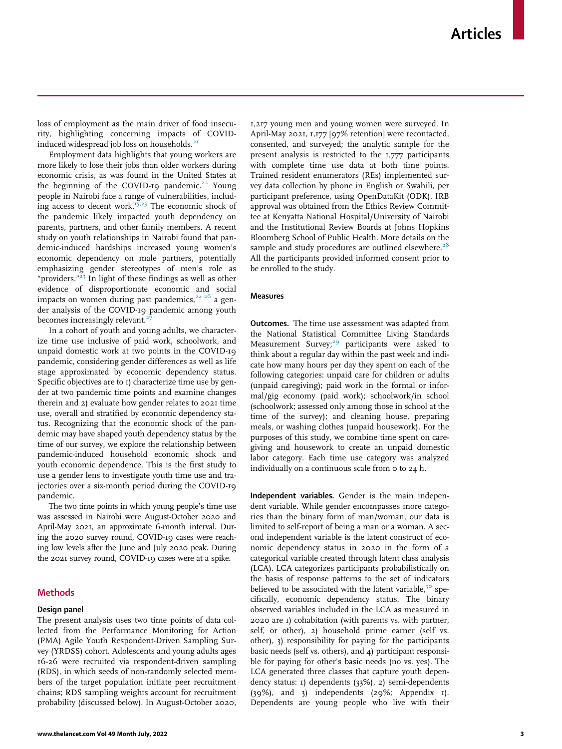loss of employment as the main driver of food insecurity, highlighting concerning impacts of COVID-induced widespread job loss on households.<sup>[21](#page-9-14)</sup>

Employment data highlights that young workers are more likely to lose their jobs than older workers during economic crisis, as was found in the United States at the beginning of the COVID-19 pandemic.<sup>[22](#page-9-15)</sup> Young people in Nairobi face a range of vulnerabilities, includ-ing access to decent work.<sup>15,[23](#page-9-16)</sup> The economic shock of the pandemic likely impacted youth dependency on parents, partners, and other family members. A recent study on youth relationships in Nairobi found that pandemic-induced hardships increased young women's economic dependency on male partners, potentially emphasizing gender stereotypes of men's role as "providers."<sup>[23](#page-9-16)</sup> In light of these findings as well as other evidence of disproportionate economic and social impacts on women during past pandemics,  $24-26$  a gender analysis of the COVID-19 pandemic among youth becomes increasingly relevant. $27$ 

In a cohort of youth and young adults, we characterize time use inclusive of paid work, schoolwork, and unpaid domestic work at two points in the COVID-19 pandemic, considering gender differences as well as life stage approximated by economic dependency status. Specific objectives are to 1) characterize time use by gender at two pandemic time points and examine changes therein and 2) evaluate how gender relates to 2021 time use, overall and stratified by economic dependency status. Recognizing that the economic shock of the pandemic may have shaped youth dependency status by the time of our survey, we explore the relationship between pandemic-induced household economic shock and youth economic dependence. This is the first study to use a gender lens to investigate youth time use and trajectories over a six-month period during the COVID-19 pandemic.

The two time points in which young people's time use was assessed in Nairobi were August-October 2020 and April-May 2021, an approximate 6-month interval. During the 2020 survey round, COVID-19 cases were reaching low levels after the June and July 2020 peak. During the 2021 survey round, COVID-19 cases were at a spike.

# Methods

#### Design panel

The present analysis uses two time points of data collected from the Performance Monitoring for Action (PMA) Agile Youth Respondent-Driven Sampling Survey (YRDSS) cohort. Adolescents and young adults ages 16-26 were recruited via respondent-driven sampling (RDS), in which seeds of non-randomly selected members of the target population initiate peer recruitment chains; RDS sampling weights account for recruitment probability (discussed below). In August-October 2020, 1,217 young men and young women were surveyed. In April-May 2021, 1,177 [97% retention] were recontacted, consented, and surveyed; the analytic sample for the present analysis is restricted to the 1,777 participants with complete time use data at both time points. Trained resident enumerators (REs) implemented survey data collection by phone in English or Swahili, per participant preference, using OpenDataKit (ODK). IRB approval was obtained from the Ethics Review Committee at Kenyatta National Hospital/University of Nairobi and the Institutional Review Boards at Johns Hopkins Bloomberg School of Public Health. More details on the sample and study procedures are outlined elsewhere. $28$ All the participants provided informed consent prior to be enrolled to the study.

#### Measures

Outcomes. The time use assessment was adapted from the National Statistical Committee Living Standards Measurement Survey;<sup>[29](#page-9-20)</sup> participants were asked to think about a regular day within the past week and indicate how many hours per day they spent on each of the following categories: unpaid care for children or adults (unpaid caregiving); paid work in the formal or informal/gig economy (paid work); schoolwork/in school (schoolwork; assessed only among those in school at the time of the survey); and cleaning house, preparing meals, or washing clothes (unpaid housework). For the purposes of this study, we combine time spent on caregiving and housework to create an unpaid domestic labor category. Each time use category was analyzed individually on a continuous scale from 0 to 24 h.

Independent variables. Gender is the main independent variable. While gender encompasses more categories than the binary form of man/woman, our data is limited to self-report of being a man or a woman. A second independent variable is the latent construct of economic dependency status in 2020 in the form of a categorical variable created through latent class analysis (LCA). LCA categorizes participants probabilistically on the basis of response patterns to the set of indicators believed to be associated with the latent variable, $3^{\circ}$  specifically, economic dependency status. The binary observed variables included in the LCA as measured in 2020 are 1) cohabitation (with parents vs. with partner, self, or other), 2) household prime earner (self vs. other), 3) responsibility for paying for the participants basic needs (self vs. others), and 4) participant responsible for paying for other's basic needs (no vs. yes). The LCA generated three classes that capture youth dependency status: 1) dependents (33%), 2) semi-dependents (39%), and 3) independents (29%; Appendix 1). Dependents are young people who live with their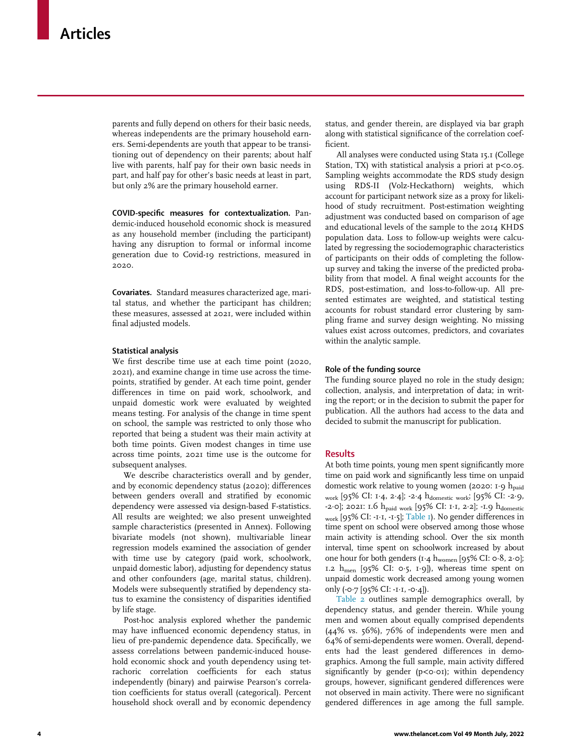parents and fully depend on others for their basic needs, whereas independents are the primary household earners. Semi-dependents are youth that appear to be transitioning out of dependency on their parents; about half live with parents, half pay for their own basic needs in part, and half pay for other's basic needs at least in part, but only 2% are the primary household earner.

COVID-specific measures for contextualization. Pandemic-induced household economic shock is measured as any household member (including the participant) having any disruption to formal or informal income generation due to Covid-19 restrictions, measured in 2020.

Covariates. Standard measures characterized age, marital status, and whether the participant has children; these measures, assessed at 2021, were included within final adjusted models.

#### Statistical analysis

We first describe time use at each time point (2020, 2021), and examine change in time use across the timepoints, stratified by gender. At each time point, gender differences in time on paid work, schoolwork, and unpaid domestic work were evaluated by weighted means testing. For analysis of the change in time spent on school, the sample was restricted to only those who reported that being a student was their main activity at both time points. Given modest changes in time use across time points, 2021 time use is the outcome for subsequent analyses.

We describe characteristics overall and by gender, and by economic dependency status (2020); differences between genders overall and stratified by economic dependency were assessed via design-based F-statistics. All results are weighted; we also present unweighted sample characteristics (presented in Annex). Following bivariate models (not shown), multivariable linear regression models examined the association of gender with time use by category (paid work, schoolwork, unpaid domestic labor), adjusting for dependency status and other confounders (age, marital status, children). Models were subsequently stratified by dependency status to examine the consistency of disparities identified by life stage.

Post-hoc analysis explored whether the pandemic may have influenced economic dependency status, in lieu of pre-pandemic dependence data. Specifically, we assess correlations between pandemic-induced household economic shock and youth dependency using tetrachoric correlation coefficients for each status independently (binary) and pairwise Pearson's correlation coefficients for status overall (categorical). Percent household shock overall and by economic dependency

status, and gender therein, are displayed via bar graph along with statistical significance of the correlation coefficient.

All analyses were conducted using Stata 15.1 (College Station, TX) with statistical analysis a priori at  $p <$  0.05. Sampling weights accommodate the RDS study design using RDS-II (Volz-Heckathorn) weights, which account for participant network size as a proxy for likelihood of study recruitment. Post-estimation weighting adjustment was conducted based on comparison of age and educational levels of the sample to the 2014 KHDS population data. Loss to follow-up weights were calculated by regressing the sociodemographic characteristics of participants on their odds of completing the followup survey and taking the inverse of the predicted probability from that model. A final weight accounts for the RDS, post-estimation, and loss-to-follow-up. All presented estimates are weighted, and statistical testing accounts for robust standard error clustering by sampling frame and survey design weighting. No missing values exist across outcomes, predictors, and covariates within the analytic sample.

#### Role of the funding source

The funding source played no role in the study design; collection, analysis, and interpretation of data; in writing the report; or in the decision to submit the paper for publication. All the authors had access to the data and decided to submit the manuscript for publication.

## Results

At both time points, young men spent significantly more time on paid work and significantly less time on unpaid domestic work relative to young women (2020: 1 $·$ 9 h<sub>paid</sub> work [95% CI: 1¢4, 2¢4]; -2¢4 hdomestic work; [95% CI: -2¢9, -2 $\cdot$ 0]; 2021: 1.6  $h_{\text{paid work}}$  [95% CI: 1 $\cdot$ 1, 2 $\cdot$ 2];  $\cdot$ 1.9  $h_{\text{domestic}}$  $_{\text{work}}$  [95% CI: -1·1, -1·5]; [Table 1\)](#page-4-0). No gender differences in time spent on school were observed among those whose main activity is attending school. Over the six month interval, time spent on schoolwork increased by about one hour for both genders (1.4 hwomen [95% CI: 0.8, 2.0]; 1.2  $h_{\text{men}}$  [95% CI: 0.5, 1.9]), whereas time spent on unpaid domestic work decreased among young women only  $(-0.7 [95\% CI: -I.1, -0.4]).$ 

[Table 2](#page-5-0) outlines sample demographics overall, by dependency status, and gender therein. While young men and women about equally comprised dependents (44% vs. 56%), 76% of independents were men and 64% of semi-dependents were women. Overall, dependents had the least gendered differences in demographics. Among the full sample, main activity differed significantly by gender ( $p < o·o1$ ); within dependency groups, however, significant gendered differences were not observed in main activity. There were no significant gendered differences in age among the full sample.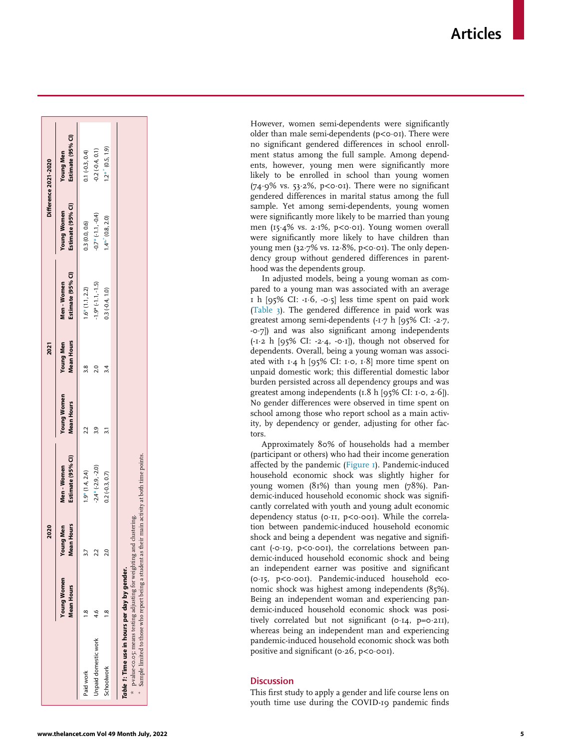<span id="page-4-1"></span><span id="page-4-0"></span>

|                                                                                                                                                      |                                  | 2020                                  |                                |                                         | 2021                                  |                                  |                                         | Difference 2021-2020                  |
|------------------------------------------------------------------------------------------------------------------------------------------------------|----------------------------------|---------------------------------------|--------------------------------|-----------------------------------------|---------------------------------------|----------------------------------|-----------------------------------------|---------------------------------------|
|                                                                                                                                                      | <b>Young Women</b><br>Mean Hours | <b>Mean Hours</b><br><b>Young Men</b> | Estimate (95% CI)<br>Men-Women | <b>Young Women</b><br><b>Mean Hours</b> | <b>Mean Hours</b><br><b>Young Men</b> | Estimate (95% CI)<br>Men - Women | Estimate (95% CI)<br><b>Young Women</b> | Estimate (95% CI)<br><b>Young Men</b> |
| Paid work                                                                                                                                            |                                  |                                       | $1.9*$ (1.4, 2.4)              |                                         | $\frac{8}{3}$                         | $1.6*(1.1, 2.2)$                 | 0.3(0.0, 0.6)                           | $0.1 (-0.3, 0.4)$                     |
| Unpaid domestic work                                                                                                                                 |                                  | 22                                    | $-2.4*(-2.9, -2.0)$            |                                         |                                       | $-1.9*(-1.1,-1.5)$               | $-0.7$ * $(-1.1, -0.4)$                 | $0.2(-0.4, 0.1)$                      |
| Schoolwork                                                                                                                                           |                                  | $\frac{1}{2}$                         | $0.2 (-0.3, 0.7)$              |                                         |                                       | $0.3(-0.4, 1.0)$                 | $1.4^{**}$ (0.8, 2.0)                   | $1.2$ * (0.5, 1.9)                    |
|                                                                                                                                                      |                                  |                                       |                                |                                         |                                       |                                  |                                         |                                       |
| * p-value <o.o5; adjusting="" and="" clustering.<br="" for="" means="" testing="" weighting="">Table 1: Time use in hours per day by gender.</o.o5;> |                                  |                                       |                                |                                         |                                       |                                  |                                         |                                       |
| $^*$ Sample limited to those who report being a student as their main activity at both time points.                                                  |                                  |                                       |                                |                                         |                                       |                                  |                                         |                                       |

However, women semi-dependents were significantly older than male semi-dependents (p<o·o1). There were no significant gendered differences in school enrollment status among the full sample. Among dependents, however, young men were significantly more likely to be enrolled in school than young women  $(74.9\% \text{ vs. } 53.2\%, \text{ p} < \text{o} \cdot \text{o} \cdot \text{)}$ . There were no significant gendered differences in marital status among the full sample. Yet among semi-dependents, young women were significantly more likely to be married than young men (15 ¢4% vs. 2 ¢1%, p < 0 ¢01). Young women overall were significantly more likely to have children than young men (32 ¢7% vs. 12 ¢8%, p < 0 ¢01). The only dependency group without gendered differences in parenthood was the dependents group.

In adjusted models, being a young woman as compared to a young man was associated with an average 1 h [95% CI: -1 ¢6, -0 ¢5] less time spent on paid work [\(Table 3](#page-6-0)). The gendered difference in paid work was greatest among semi-dependents  $(-1.7 \text{ h} \mid 95\% \text{ CI: -2.7})$ -0 ¢7]) and was also significant among independents  $(-1.2 \text{ h } [95\% \text{ CI: } -2.4, -0.1])$ , though not observed for dependents. Overall, being a young woman was associated with  $1·4$  h [95% CI: 1⋅0, 1⋅8] more time spent on unpaid domestic work; this differential domestic labor burden persisted across all dependency groups and was greatest among independents (1.8 h [95% CI: 1 $\cdot$ 0, 2 $\cdot$ 6]). No gender differences were observed in time spent on school among those who report school as a main activity, by dependency or gender, adjusting for other factors.

Approximately 80% of households had a member (participant or others) who had their income generation affected by the pandemic ([Figure 1\)](#page-7-0). Pandemic-induced household economic shock was slightly higher for young women (81%) than young men (78%). Pandemic-induced household economic shock was significantly correlated with youth and young adult economic dependency status (0.11, p<0.001). While the correlation between pandemic-induced household economic shock and being a dependent was negative and significant (-0 $\cdot$ 19, p<0 $\cdot$ 001), the correlations between pandemic-induced household economic shock and being an independent earner was positive and significant (0 ¢15, p < 0 ¢001). Pandemic-induced household economic shock was highest among independents (85%). Being an independent woman and experiencing pandemic-induced household economic shock was positively correlated but not significant (0.14, p=0.211), whereas being an independent man and experiencing pandemic-induced household economic shock was both positive and significant (0.26, p<0.001).

# **Discussion**

This first study to apply a gender and life course lens on youth time use during the COVID-19 pandemic finds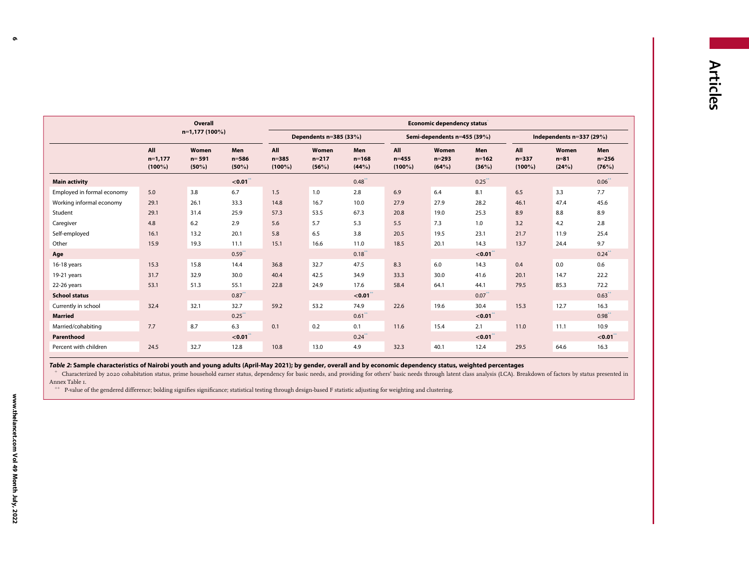<span id="page-5-2"></span><span id="page-5-1"></span><span id="page-5-0"></span>

|                            |                               | Overall                        |                              |                               |                           |                              |                               | Economic dependency status  |                           |                               |                           |                           |
|----------------------------|-------------------------------|--------------------------------|------------------------------|-------------------------------|---------------------------|------------------------------|-------------------------------|-----------------------------|---------------------------|-------------------------------|---------------------------|---------------------------|
|                            |                               | $n=1,177(100\%)$               |                              |                               | Dependents n=385 (33%)    |                              |                               | Semi-dependents n=455 (39%) |                           |                               | Independents $n=337(29%)$ |                           |
|                            | All<br>$n=1,177$<br>$(100\%)$ | Women<br>$n = 591$<br>$(50\%)$ | Men<br>$n = 586$<br>$(50\%)$ | All<br>$n = 385$<br>$(100\%)$ | Women<br>$n=217$<br>(56%) | Men<br>$n = 168$<br>$(44\%)$ | All<br>$n = 455$<br>$(100\%)$ | Women<br>$n = 293$<br>(64%) | Men<br>$n = 162$<br>(36%) | All<br>$n = 337$<br>$(100\%)$ | Women<br>$n=81$<br>(24%)  | Men<br>$n = 256$<br>(76%) |
| <b>Main activity</b>       |                               |                                | $< 0.01$ <sup>*</sup>        |                               |                           | $0.48^{+}$                   |                               |                             | $0.25$ <sup>**</sup>      |                               |                           | $0.06^{+}$                |
| Employed in formal economy | 5.0                           | 3.8                            | 6.7                          | 1.5                           | 1.0                       | 2.8                          | 6.9                           | 6.4                         | 8.1                       | 6.5                           | 3.3                       | 7.7                       |
| Working informal economy   | 29.1                          | 26.1                           | 33.3                         | 14.8                          | 16.7                      | 10.0                         | 27.9                          | 27.9                        | 28.2                      | 46.1                          | 47.4                      | 45.6                      |
| Student                    | 29.1                          | 31.4                           | 25.9                         | 57.3                          | 53.5                      | 67.3                         | 20.8                          | 19.0                        | 25.3                      | 8.9                           | 8.8                       | 8.9                       |
| Caregiver                  | 4.8                           | 6.2                            | 2.9                          | 5.6                           | 5.7                       | 5.3                          | 5.5                           | 7.3                         | 1.0                       | 3.2                           | 4.2                       | 2.8                       |
| Self-employed              | 16.1                          | 13.2                           | 20.1                         | 5.8                           | 6.5                       | 3.8                          | 20.5                          | 19.5                        | 23.1                      | 21.7                          | 11.9                      | 25.4                      |
| Other                      | 15.9                          | 19.3                           | 11.1                         | 15.1                          | 16.6                      | 11.0                         | 18.5                          | 20.1                        | 14.3                      | 13.7                          | 24.4                      | 9.7                       |
| Age                        |                               |                                | $0.59^{^{+}}$                |                               |                           | $0.18$ <sup>+</sup>          |                               |                             | < 0.01                    |                               |                           | 0.24                      |
| 16-18 years                | 15.3                          | 15.8                           | 14.4                         | 36.8                          | 32.7                      | 47.5                         | 8.3                           | 6.0                         | 14.3                      | 0.4                           | 0.0                       | 0.6                       |
| 19-21 years                | 31.7                          | 32.9                           | 30.0                         | 40.4                          | 42.5                      | 34.9                         | 33.3                          | 30.0                        | 41.6                      | 20.1                          | 14.7                      | 22.2                      |
| 22-26 years                | 53.1                          | 51.3                           | 55.1                         | 22.8                          | 24.9                      | 17.6                         | 58.4                          | 64.1                        | 44.1                      | 79.5                          | 85.3                      | 72.2                      |
| <b>School status</b>       |                               |                                | $0.87$ <sup>**</sup>         |                               |                           | < 0.01                       |                               |                             | $0.07^{+}$                |                               |                           | $0.63$ <sup>+</sup>       |
| Currently in school        | 32.4                          | 32.1                           | 32.7                         | 59.2                          | 53.2                      | 74.9                         | 22.6                          | 19.6                        | 30.4                      | 15.3                          | 12.7                      | 16.3                      |
| <b>Married</b>             |                               |                                | $0.25$ <sup>**</sup>         |                               |                           | $0.61$ <sup>**</sup>         |                               |                             | $< 0.01$ <sup>**</sup>    |                               |                           | $0.98^{+}$                |
| Married/cohabiting         | 7.7                           | 8.7                            | 6.3                          | 0.1                           | 0.2                       | 0.1                          | 11.6                          | 15.4                        | 2.1                       | 11.0                          | 11.1                      | 10.9                      |
| Parenthood                 |                               |                                | $< 0.01$ <sup>**</sup>       |                               |                           | $0.24$ <sup>**</sup>         |                               |                             | < 0.01                    |                               |                           | < 0.01                    |
| Percent with children      | 24.5                          | 32.7                           | 12.8                         | 10.8                          | 13.0                      | 4.9                          | 32.3                          | 40.1                        | 12.4                      | 29.5                          | 64.6                      | 16.3                      |

Table 2: Sample characteristics of Nairobi youth and young adults (April-May 2021); by gender, overall and by economic dependency status, weighted percentages

+ Characterized by <sup>2020</sup> cohabitation status, prime household earner status, dependency for basic needs, and providing for others' basic needs through latent class analysis (LCA). Breakdown of factors by status presented in Annex Table 1.

++ P-value of the gendered difference; bolding signifies significance; statistical testing through design-based <sup>F</sup> statistic adjusting for weighting and clustering.

6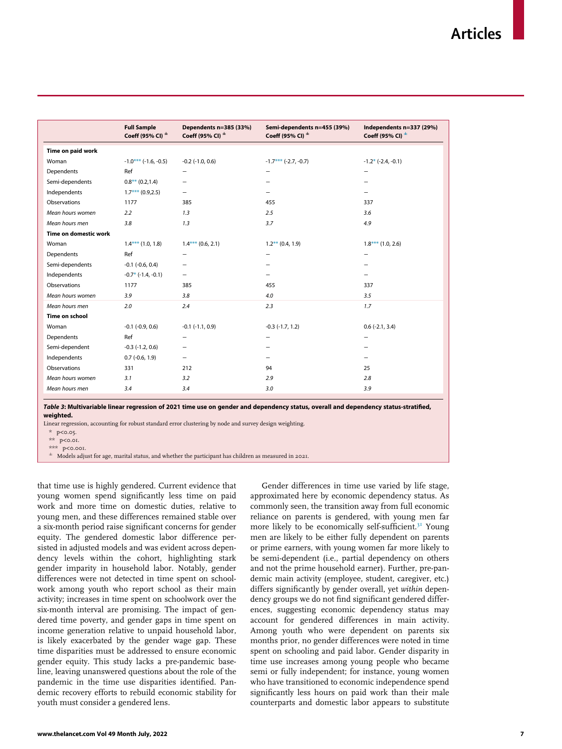<span id="page-6-0"></span>

|                       | <b>Full Sample</b><br>Coeff (95% CI) $^{\pm}$ | Dependents n=385 (33%)<br>Coeff (95% CI) $^{\pm}$ | Semi-dependents n=455 (39%)<br>Coeff (95% CI) $^{\pm}$ | Independents n=337 (29%)<br>Coeff (95% CI) $^{\pm}$ |
|-----------------------|-----------------------------------------------|---------------------------------------------------|--------------------------------------------------------|-----------------------------------------------------|
| Time on paid work     |                                               |                                                   |                                                        |                                                     |
| Woman                 | $-1.0***$ (-1.6, -0.5)                        | $-0.2$ $(-1.0, 0.6)$                              | $-1.7***$ (-2.7, -0.7)                                 | $-1.2*$ ( $-2.4$ , $-0.1$ )                         |
| Dependents            | Ref                                           | $\overline{\phantom{0}}$                          | -                                                      | -                                                   |
| Semi-dependents       | $0.8***(0.2,1.4)$                             | -                                                 |                                                        |                                                     |
| Independents          | $1.7***(0.9,2.5)$                             | -                                                 |                                                        |                                                     |
| Observations          | 1177                                          | 385                                               | 455                                                    | 337                                                 |
| Mean hours women      | 2.2                                           | 1.3                                               | 2.5                                                    | 3.6                                                 |
| Mean hours men        | 3.8                                           | 1.3                                               | 3.7                                                    | 4.9                                                 |
| Time on domestic work |                                               |                                                   |                                                        |                                                     |
| Woman                 | $1.4***$ (1.0, 1.8)                           | $1.4***(0.6, 2.1)$                                | $1.2***$ (0.4, 1.9)                                    | $1.8***(1.0, 2.6)$                                  |
| Dependents            | Ref                                           | $\overline{\phantom{0}}$                          | -                                                      |                                                     |
| Semi-dependents       | $-0.1$ $(-0.6, 0.4)$                          | -                                                 |                                                        |                                                     |
| Independents          | $-0.7$ * ( $-1.4$ , $-0.1$ )                  | $\overline{\phantom{0}}$                          |                                                        |                                                     |
| Observations          | 1177                                          | 385                                               | 455                                                    | 337                                                 |
| Mean hours women      | 3.9                                           | 3.8                                               | 4.0                                                    | 3.5                                                 |
| Mean hours men        | 2.0                                           | 2.4                                               | 2.3                                                    | 1.7                                                 |
| Time on school        |                                               |                                                   |                                                        |                                                     |
| Woman                 | $-0.1$ $(-0.9, 0.6)$                          | $-0.1$ $(-1.1, 0.9)$                              | $-0.3$ $(-1.7, 1.2)$                                   | $0.6$ (-2.1, 3.4)                                   |
| Dependents            | Ref                                           | $\overline{\phantom{0}}$                          | -                                                      |                                                     |
| Semi-dependent        | $-0.3$ $(-1.2, 0.6)$                          | -                                                 |                                                        |                                                     |
| Independents          | $0.7$ (-0.6, 1.9)                             | -                                                 |                                                        |                                                     |
| Observations          | 331                                           | 212                                               | 94                                                     | 25                                                  |
| Mean hours women      | 3.1                                           | 3.2                                               | 2.9                                                    | 2.8                                                 |
| Mean hours men        | 3.4                                           | 3.4                                               | 3.0                                                    | 3.9                                                 |
|                       |                                               |                                                   |                                                        |                                                     |

Table 3: Multivariable linear regression of 2021 time use on gender and dependency status, overall and dependency status-stratified, weighted.

<span id="page-6-2"></span><span id="page-6-1"></span>Linear regression, accounting for robust standard error clustering by node and survey design weighting.

\* p<0.05.

\*\* p<0.01.

\*\*\* p<0.001.

§ Models adjust for age, marital status, and whether the participant has children as measured in 2021.

that time use is highly gendered. Current evidence that young women spend significantly less time on paid work and more time on domestic duties, relative to young men, and these differences remained stable over a six-month period raise significant concerns for gender equity. The gendered domestic labor difference persisted in adjusted models and was evident across dependency levels within the cohort, highlighting stark gender imparity in household labor. Notably, gender differences were not detected in time spent on schoolwork among youth who report school as their main activity; increases in time spent on schoolwork over the six-month interval are promising. The impact of gendered time poverty, and gender gaps in time spent on income generation relative to unpaid household labor, is likely exacerbated by the gender wage gap. These time disparities must be addressed to ensure economic gender equity. This study lacks a pre-pandemic baseline, leaving unanswered questions about the role of the pandemic in the time use disparities identified. Pandemic recovery efforts to rebuild economic stability for youth must consider a gendered lens.

Gender differences in time use varied by life stage, approximated here by economic dependency status. As commonly seen, the transition away from full economic reliance on parents is gendered, with young men far more likely to be economically self-sufficient.<sup>[31](#page-9-22)</sup> Young men are likely to be either fully dependent on parents or prime earners, with young women far more likely to be semi-dependent (i.e., partial dependency on others and not the prime household earner). Further, pre-pandemic main activity (employee, student, caregiver, etc.) differs significantly by gender overall, yet within dependency groups we do not find significant gendered differences, suggesting economic dependency status may account for gendered differences in main activity. Among youth who were dependent on parents six months prior, no gender differences were noted in time spent on schooling and paid labor. Gender disparity in time use increases among young people who became semi or fully independent; for instance, young women who have transitioned to economic independence spend significantly less hours on paid work than their male counterparts and domestic labor appears to substitute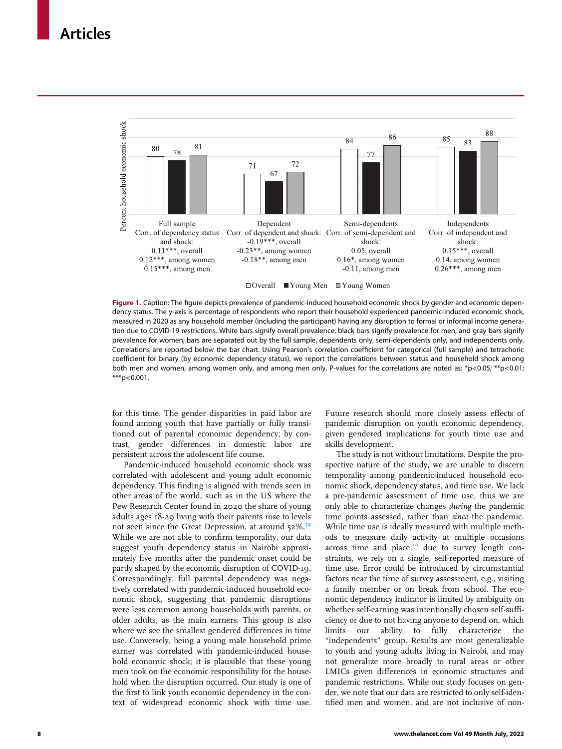<span id="page-7-0"></span>

Figure 1. Caption: The figure depicts prevalence of pandemic-induced household economic shock by gender and economic dependency status. The y-axis is percentage of respondents who report their household experienced pandemic-induced economic shock, measured in 2020 as any household member (including the participant) having any disruption to formal or informal income generation due to COVID-19 restrictions. White bars signify overall prevalence, black bars signify prevalence for men, and gray bars signify prevalence for women; bars are separated out by the full sample, dependents only, semi-dependents only, and independents only. Correlations are reported below the bar chart. Using Pearson's correlation coefficient for categorical (full sample) and tetrachoric coefficient for binary (by economic dependency status), we report the correlations between status and household shock among both men and women, among women only, and among men only. P-values for the correlations are noted as: \*p<0.05; \*\*p<0.01;  $***p<0.001$ .

for this time. The gender disparities in paid labor are found among youth that have partially or fully transitioned out of parental economic dependency; by contrast, gender differences in domestic labor are persistent across the adolescent life course.

Pandemic-induced household economic shock was correlated with adolescent and young adult economic dependency. This finding is aligned with trends seen in other areas of the world, such as in the US where the Pew Research Center found in 2020 the share of young adults ages 18-29 living with their parents rose to levels not seen since the Great Depression, at around  $52\%$ .<sup>32</sup> While we are not able to confirm temporality, our data suggest youth dependency status in Nairobi approximately five months after the pandemic onset could be partly shaped by the economic disruption of COVID-19. Correspondingly, full parental dependency was negatively correlated with pandemic-induced household economic shock, suggesting that pandemic disruptions were less common among households with parents, or older adults, as the main earners. This group is also where we see the smallest gendered differences in time use. Conversely, being a young male household prime earner was correlated with pandemic-induced household economic shock; it is plausible that these young men took on the economic responsibility for the household when the disruption occurred. Our study is one of the first to link youth economic dependency in the context of widespread economic shock with time use.

Future research should more closely assess effects of pandemic disruption on youth economic dependency, given gendered implications for youth time use and skills development.

The study is not without limitations. Despite the prospective nature of the study, we are unable to discern temporality among pandemic-induced household economic shock, dependency status, and time use. We lack a pre-pandemic assessment of time use, thus we are only able to characterize changes during the pandemic time points assessed, rather than since the pandemic. While time use is ideally measured with multiple methods to measure daily activity at multiple occasions across time and place,<sup>[10](#page-9-3)</sup> due to survey length constraints, we rely on a single, self-reported measure of time use. Error could be introduced by circumstantial factors near the time of survey assessment, e.g., visiting a family member or on break from school. The economic dependency indicator is limited by ambiguity on whether self-earning was intentionally chosen self-sufficiency or due to not having anyone to depend on, which limits our ability to fully characterize the "independents" group. Results are most generalizable to youth and young adults living in Nairobi, and may not generalize more broadly to rural areas or other LMICs given differences in economic structures and pandemic restrictions. While our study focuses on gender, we note that our data are restricted to only self-identified men and women, and are not inclusive of non-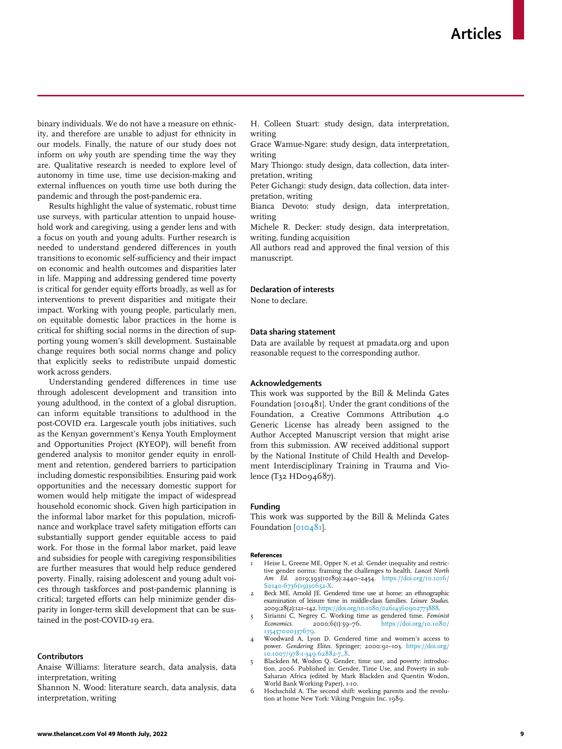binary individuals. We do not have a measure on ethnicity, and therefore are unable to adjust for ethnicity in our models. Finally, the nature of our study does not inform on why youth are spending time the way they are. Qualitative research is needed to explore level of autonomy in time use, time use decision-making and external influences on youth time use both during the pandemic and through the post-pandemic era.

Results highlight the value of systematic, robust time use surveys, with particular attention to unpaid household work and caregiving, using a gender lens and with a focus on youth and young adults. Further research is needed to understand gendered differences in youth transitions to economic self-sufficiency and their impact on economic and health outcomes and disparities later in life. Mapping and addressing gendered time poverty is critical for gender equity efforts broadly, as well as for interventions to prevent disparities and mitigate their impact. Working with young people, particularly men, on equitable domestic labor practices in the home is critical for shifting social norms in the direction of supporting young women's skill development. Sustainable change requires both social norms change and policy that explicitly seeks to redistribute unpaid domestic work across genders.

<span id="page-8-4"></span>Understanding gendered differences in time use through adolescent development and transition into young adulthood, in the context of a global disruption, can inform equitable transitions to adulthood in the post-COVID era. Largescale youth jobs initiatives, such as the Kenyan government's Kenya Youth Employment and Opportunities Project (KYEOP), will benefit from gendered analysis to monitor gender equity in enrollment and retention, gendered barriers to participation including domestic responsibilities. Ensuring paid work opportunities and the necessary domestic support for women would help mitigate the impact of widespread household economic shock. Given high participation in the informal labor market for this population, microfinance and workplace travel safety mitigation efforts can substantially support gender equitable access to paid work. For those in the formal labor market, paid leave and subsidies for people with caregiving responsibilities are further measures that would help reduce gendered poverty. Finally, raising adolescent and young adult voices through taskforces and post-pandemic planning is critical; targeted efforts can help minimize gender disparity in longer-term skill development that can be sustained in the post-COVID-19 era.

#### <span id="page-8-2"></span><span id="page-8-1"></span><span id="page-8-0"></span>**Contributors**

Anaise Williams: literature search, data analysis, data interpretation, writing

<span id="page-8-3"></span>Shannon N. Wood: literature search, data analysis, data interpretation, writing

H. Colleen Stuart: study design, data interpretation, writing

Grace Wamue-Ngare: study design, data interpretation, writing

Mary Thiongo: study design, data collection, data interpretation, writing

Peter Gichangi: study design, data collection, data interpretation, writing

Bianca Devoto: study design, data interpretation, writing

Michele R. Decker: study design, data interpretation, writing, funding acquisition

All authors read and approved the final version of this manuscript.

#### Declaration of interests

None to declare.

#### Data sharing statement

Data are available by request at pmadata.org and upon reasonable request to the corresponding author.

#### Acknowledgements

This work was supported by the Bill & Melinda Gates Foundation [010481]. Under the grant conditions of the Foundation, a Creative Commons Attribution 4.0 Generic License has already been assigned to the Author Accepted Manuscript version that might arise from this submission. AW received additional support by the National Institute of Child Health and Development Interdisciplinary Training in Trauma and Violence (T32 HD094687).

#### Funding

This work was supported by the Bill & Melinda Gates Foundation [[010481](#page-8-4)].

#### References

- Heise L, Greene ME, Opper N, et al. Gender inequality and restrictive gender norms: framing the challenges to health. Lancet North Am Ed. 2019;393(10189):2440–2454. [https://doi.org/10.1016/](https://doi.org/10.1016/S0140-6736(19)30652-X) [S0140-6736\(19\)30652-X.](https://doi.org/10.1016/S0140-6736(19)30652-X)
- Beck ME, Arnold JE. Gendered time use at home: an ethnographic examination of leisure time in middle-class families. Leisure Studies. 2009;28(2):121–142. [https://doi.org/10.1080/02614360902773888.](https://doi.org/10.1080/02614360902773888)
- Sirianni C, Negrey C. Working time as gendered time. Feminist Economics. 2000;6(1):59–76. [https://doi.org/10.1080/](https://doi.org/10.1080/135457000337679) [135457000337679.](https://doi.org/10.1080/135457000337679)
- 4 Woodward A, Lyon D. Gendered time and women's access to power. Gendering Elites. Springer; 2000:91–103. [https://doi.org/](https://doi.org/10.1007/978-1-349-62882-7_8) .<br>10.1007/978-1-349-62882-7\_8
- 5 Blackden M, Wodon Q. Gender, time use, and poverty: introduction. 2006. Published in: Gender, Time Use, and Poverty in sub-Saharan Africa (edited by Mark Blackden and Quentin Wodon, World Bank Working Paper), 1-10.
- 6 Hochschild A. The second shift: working parents and the revolution at home New York: Viking Penguin Inc. 1989.